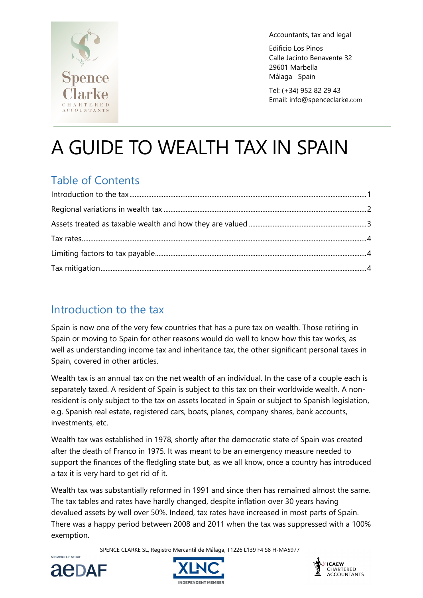

Accountants, tax and legal

Edificio Los Pinos Calle Jacinto Benavente 32 29601 Marbella Málaga Spain

Tel: (+34) 952 82 29 43 Email: info@spenceclarke.com

# A GUIDE TO WEALTH TAX IN SPAIN

## Table of Contents

### Introduction to the tax

Spain is now one of the very few countries that has a pure tax on wealth. Those retiring in Spain or moving to Spain for other reasons would do well to know how this tax works, as well as understanding income tax and inheritance tax, the other significant personal taxes in Spain, covered in other articles.

Wealth tax is an annual tax on the net wealth of an individual. In the case of a couple each is separately taxed. A resident of Spain is subject to this tax on their worldwide wealth. A nonresident is only subject to the tax on assets located in Spain or subject to Spanish legislation, e.g. Spanish real estate, registered cars, boats, planes, company shares, bank accounts, investments, etc.

Wealth tax was established in 1978, shortly after the democratic state of Spain was created after the death of Franco in 1975. It was meant to be an emergency measure needed to support the finances of the fledgling state but, as we all know, once a country has introduced a tax it is very hard to get rid of it.

Wealth tax was substantially reformed in 1991 and since then has remained almost the same. The tax tables and rates have hardly changed, despite inflation over 30 years having devalued assets by well over 50%. Indeed, tax rates have increased in most parts of Spain. There was a happy period between 2008 and 2011 when the tax was suppressed with a 100% exemption.

SPENCE CLARKE SL, Registro Mercantil de Málaga, T1226 L139 F4 S8 H-MA5977



MIEMBRO DE AEDAR



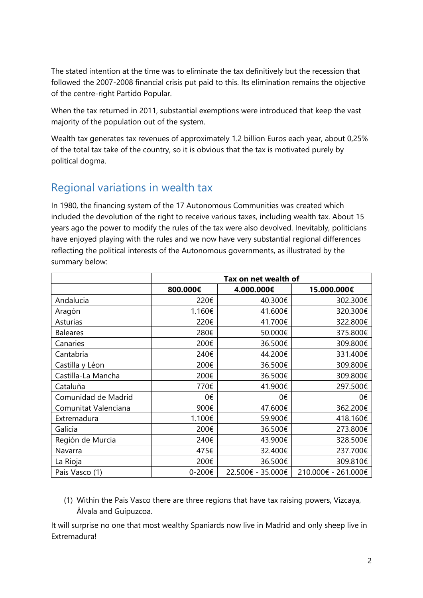The stated intention at the time was to eliminate the tax definitively but the recession that followed the 2007-2008 financial crisis put paid to this. Its elimination remains the objective of the centre-right Partido Popular.

When the tax returned in 2011, substantial exemptions were introduced that keep the vast majority of the population out of the system.

Wealth tax generates tax revenues of approximately 1.2 billion Euros each year, about 0,25% of the total tax take of the country, so it is obvious that the tax is motivated purely by political dogma.

#### Regional variations in wealth tax

In 1980, the financing system of the 17 Autonomous Communities was created which included the devolution of the right to receive various taxes, including wealth tax. About 15 years ago the power to modify the rules of the tax were also devolved. Inevitably, politicians have enjoyed playing with the rules and we now have very substantial regional differences reflecting the political interests of the Autonomous governments, as illustrated by the summary below:

|                      | Tax on net wealth of |                   |                     |  |
|----------------------|----------------------|-------------------|---------------------|--|
|                      | 800.000€             | 4.000.000€        | 15.000.000€         |  |
| Andalucia            | 220€                 | 40.300€           | 302.300€            |  |
| Aragón               | 1.160€               | 41.600€           | 320.300€            |  |
| Asturias             | 220€                 | 41.700€           | 322.800€            |  |
| <b>Baleares</b>      | 280€                 | 50.000€           | 375.800€            |  |
| Canaries             | 200€                 | 36.500€           | 309.800€            |  |
| Cantabria            | 240€                 | 44.200€           | 331.400€            |  |
| Castilla y Léon      | 200€                 | 36.500€           | 309.800€            |  |
| Castilla-La Mancha   | 200€                 | 36.500€           | 309.800€            |  |
| Cataluña             | 770€                 | 41.900€           | 297.500€            |  |
| Comunidad de Madrid  | 0€                   | 0€                | 0€                  |  |
| Comunitat Valenciana | 900€                 | 47.600€           | 362.200€            |  |
| Extremadura          | 1.100€               | 59.900€           | 418.160€            |  |
| Galicia              | 200€                 | 36.500€           | 273.800€            |  |
| Región de Murcia     | 240€                 | 43.900€           | 328.500€            |  |
| Navarra              | 475€                 | 32.400€           | 237.700€            |  |
| La Rioja             | 200€                 | 36.500€           | 309.810€            |  |
| País Vasco (1)       | 0-200€               | 22.500€ - 35.000€ | 210.000€ - 261.000€ |  |

(1) Within the Pais Vasco there are three regions that have tax raising powers, Vizcaya, Álvala and Guipuzcoa.

It will surprise no one that most wealthy Spaniards now live in Madrid and only sheep live in Extremadura!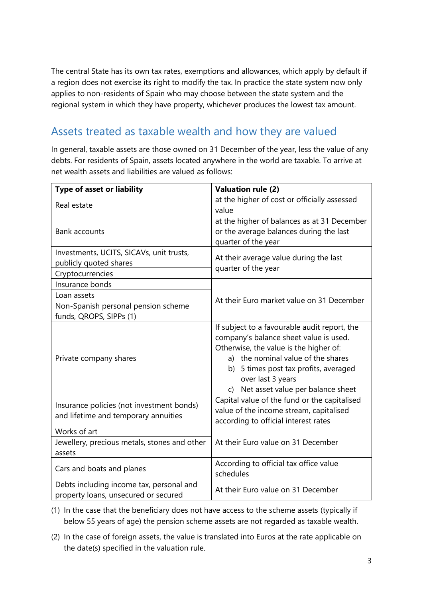The central State has its own tax rates, exemptions and allowances, which apply by default if a region does not exercise its right to modify the tax. In practice the state system now only applies to non-residents of Spain who may choose between the state system and the regional system in which they have property, whichever produces the lowest tax amount.

## Assets treated as taxable wealth and how they are valued

In general, taxable assets are those owned on 31 December of the year, less the value of any debts. For residents of Spain, assets located anywhere in the world are taxable. To arrive at net wealth assets and liabilities are valued as follows:

| Type of asset or liability                                                             | <b>Valuation rule (2)</b>                                                                                                                                                                                                                                                       |  |
|----------------------------------------------------------------------------------------|---------------------------------------------------------------------------------------------------------------------------------------------------------------------------------------------------------------------------------------------------------------------------------|--|
| Real estate                                                                            | at the higher of cost or officially assessed<br>value                                                                                                                                                                                                                           |  |
| <b>Bank accounts</b>                                                                   | at the higher of balances as at 31 December<br>or the average balances during the last<br>quarter of the year                                                                                                                                                                   |  |
| Investments, UCITS, SICAVs, unit trusts,<br>publicly quoted shares<br>Cryptocurrencies | At their average value during the last<br>quarter of the year                                                                                                                                                                                                                   |  |
| Insurance bonds                                                                        |                                                                                                                                                                                                                                                                                 |  |
| Loan assets<br>Non-Spanish personal pension scheme<br>funds, QROPS, SIPPs (1)          | At their Euro market value on 31 December                                                                                                                                                                                                                                       |  |
| Private company shares                                                                 | If subject to a favourable audit report, the<br>company's balance sheet value is used.<br>Otherwise, the value is the higher of:<br>a) the nominal value of the shares<br>b) 5 times post tax profits, averaged<br>over last 3 years<br>Net asset value per balance sheet<br>C) |  |
| Insurance policies (not investment bonds)<br>and lifetime and temporary annuities      | Capital value of the fund or the capitalised<br>value of the income stream, capitalised<br>according to official interest rates                                                                                                                                                 |  |
| Works of art                                                                           |                                                                                                                                                                                                                                                                                 |  |
| Jewellery, precious metals, stones and other<br>assets                                 | At their Euro value on 31 December                                                                                                                                                                                                                                              |  |
| Cars and boats and planes                                                              | According to official tax office value<br>schedules                                                                                                                                                                                                                             |  |
| Debts including income tax, personal and<br>property loans, unsecured or secured       | At their Euro value on 31 December                                                                                                                                                                                                                                              |  |

- (1) In the case that the beneficiary does not have access to the scheme assets (typically if below 55 years of age) the pension scheme assets are not regarded as taxable wealth.
- (2) In the case of foreign assets, the value is translated into Euros at the rate applicable on the date(s) specified in the valuation rule.